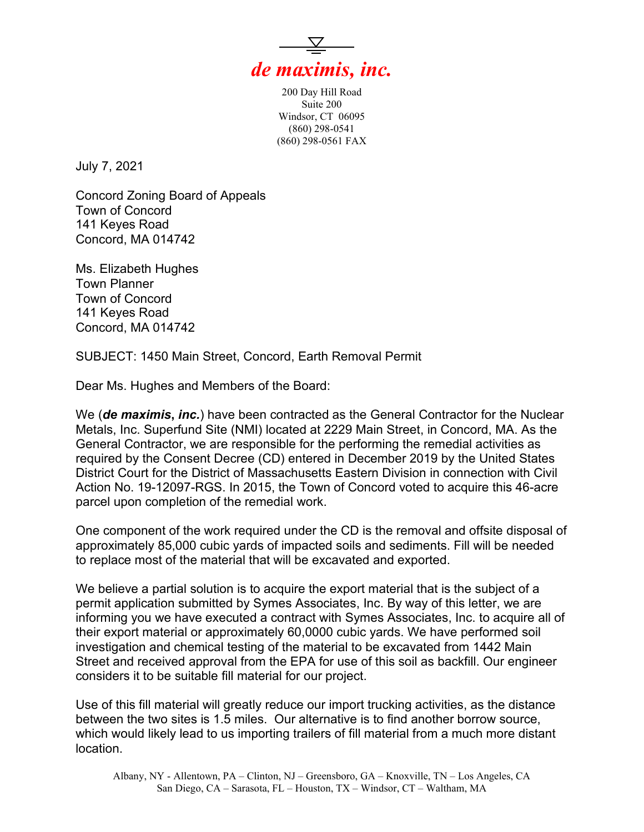

200 Day Hill Road Suite 200 Windsor, CT 06095 (860) 298-0541 (860) 298-0561 FAX

July 7, 2021

Concord Zoning Board of Appeals Town of Concord 141 Keyes Road Concord, MA 014742

Ms. Elizabeth Hughes Town Planner Town of Concord 141 Keyes Road Concord, MA 014742

SUBJECT: 1450 Main Street, Concord, Earth Removal Permit

Dear Ms. Hughes and Members of the Board:

We (*de maximis***,** *inc.*) have been contracted as the General Contractor for the Nuclear Metals, Inc. Superfund Site (NMI) located at 2229 Main Street, in Concord, MA. As the General Contractor, we are responsible for the performing the remedial activities as required by the Consent Decree (CD) entered in December 2019 by the United States District Court for the District of Massachusetts Eastern Division in connection with Civil Action No. 19-12097-RGS. In 2015, the Town of Concord voted to acquire this 46-acre parcel upon completion of the remedial work.

One component of the work required under the CD is the removal and offsite disposal of approximately 85,000 cubic yards of impacted soils and sediments. Fill will be needed to replace most of the material that will be excavated and exported.

We believe a partial solution is to acquire the export material that is the subject of a permit application submitted by Symes Associates, Inc. By way of this letter, we are informing you we have executed a contract with Symes Associates, Inc. to acquire all of their export material or approximately 60,0000 cubic yards. We have performed soil investigation and chemical testing of the material to be excavated from 1442 Main Street and received approval from the EPA for use of this soil as backfill. Our engineer considers it to be suitable fill material for our project.

Use of this fill material will greatly reduce our import trucking activities, as the distance between the two sites is 1.5 miles. Our alternative is to find another borrow source, which would likely lead to us importing trailers of fill material from a much more distant location.